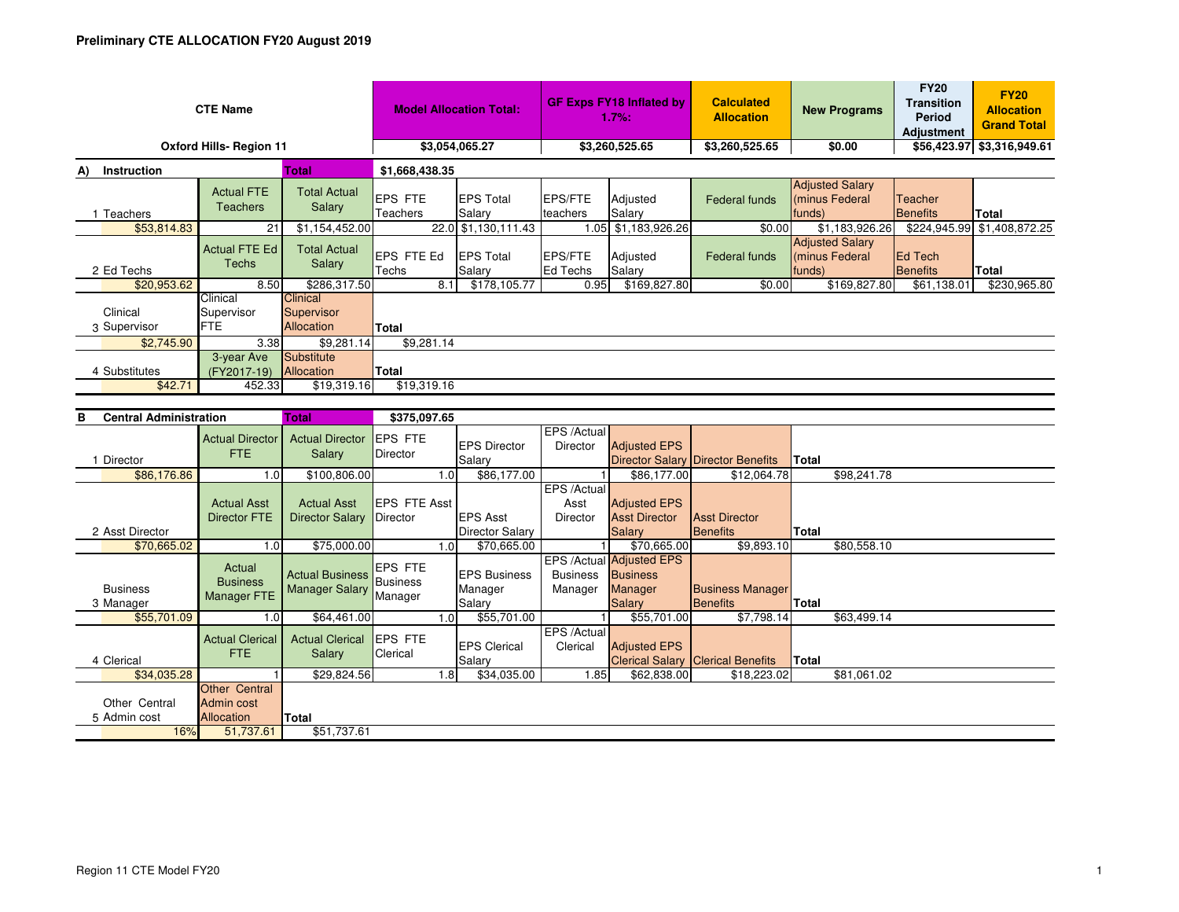| <b>CTE Name</b>                |                                       |                                             | <b>Model Allocation Total:</b> |                            | <b>GF Exps FY18 Inflated by</b><br>1.7%: |                     | <b>Calculated</b><br><b>Allocation</b> | <b>New Programs</b>                                | <b>FY20</b><br><b>Transition</b><br>Period<br><b>Adjustment</b> | <b>FY20</b><br><b>Allocation</b><br><b>Grand Total</b> |
|--------------------------------|---------------------------------------|---------------------------------------------|--------------------------------|----------------------------|------------------------------------------|---------------------|----------------------------------------|----------------------------------------------------|-----------------------------------------------------------------|--------------------------------------------------------|
| <b>Oxford Hills- Region 11</b> |                                       |                                             | \$3,054,065.27                 |                            | \$3,260,525.65                           |                     | \$3,260,525.65                         | \$0.00                                             |                                                                 | \$56,423.97 \$3,316,949.61                             |
| A)<br><b>Instruction</b>       | <b>Total</b>                          |                                             | \$1,668,438.35                 |                            |                                          |                     |                                        |                                                    |                                                                 |                                                        |
| Teachers                       | <b>Actual FTE</b><br><b>Teachers</b>  | <b>Total Actual</b><br>Salary               | <b>EPS FTE</b><br>Teachers     | <b>EPS Total</b><br>Salary | <b>EPS/FTE</b><br>teachers               | Adjusted<br>Salary  | Federal funds                          | <b>Adjusted Salary</b><br>minus Federal<br>funds)  | Teacher<br><b>I</b> Benefits                                    | Total                                                  |
| \$53,814.83                    | 21                                    | \$1,154,452.00                              |                                | 22.0 \$1,130,111.43        |                                          | 1.05 \$1,183,926.26 | \$0.00                                 | \$1,183,926.26                                     | \$224,945.99                                                    | \$1,408,872.25                                         |
| 2 Ed Techs                     | <b>Actual FTE Ed</b><br>Techs         | <b>Total Actual</b><br>Salary               | <b>EPS FTE Ed</b><br>Techs     | <b>EPS Total</b><br>Salary | <b>EPS/FTE</b><br>Ed Techs               | Adjusted<br>Salary  | <b>Federal funds</b>                   | <b>Adjusted Salary</b><br>(minus Federal<br>funds) | <b>IEd Tech</b><br><b>I</b> Benefits                            | <b>Total</b>                                           |
| \$20,953.62                    | 8.50                                  | \$286,317.50                                | 8.1                            | \$178,105.77               | 0.95                                     | \$169,827.80        | \$0.00                                 | \$169,827.80                                       | \$61,138.01                                                     | \$230,965.80                                           |
| Clinical<br>3 Supervisor       | Clinical<br>Supervisor<br><b>IFTE</b> | <b>Clinical</b><br>Supervisor<br>Allocation | <b>Total</b>                   |                            |                                          |                     |                                        |                                                    |                                                                 |                                                        |
| \$2,745.90                     | 3.38                                  | \$9,281.14                                  | \$9,281.14                     |                            |                                          |                     |                                        |                                                    |                                                                 |                                                        |
| 4 Substitutes<br>\$42.71       | 3-year Ave<br>(FY2017-19)<br>452.33   | Substitute<br>Allocation<br>\$19,319.16     | Total<br>\$19,319.16           |                            |                                          |                     |                                        |                                                    |                                                                 |                                                        |

| <b>Central Administration</b><br>в |                                           | Total                                                    | \$375,097.65                |     |                                          |                                |                                                                         |                                            |              |             |
|------------------------------------|-------------------------------------------|----------------------------------------------------------|-----------------------------|-----|------------------------------------------|--------------------------------|-------------------------------------------------------------------------|--------------------------------------------|--------------|-------------|
|                                    | <b>Actual Director</b><br>FTE.            | <b>Actual Director</b><br>Salary                         | <b>EPS FTE</b><br>Director  |     | <b>EPS Director</b>                      | EPS /Actual<br><b>Director</b> | <b>Adjusted EPS</b>                                                     |                                            |              |             |
| Director                           |                                           |                                                          |                             |     | Salary                                   |                                |                                                                         | <b>Director Salary Director Benefits</b>   | Total        |             |
| \$86,176.86                        | 1.0                                       | \$100,806.00                                             |                             | 1.0 | \$86,177.00                              |                                | \$86,177.00                                                             | \$12,064.78                                |              | \$98,241.78 |
|                                    | <b>Actual Asst</b>                        | <b>Actual Asst</b>                                       | <b>EPS FTE Asst</b>         |     |                                          | EPS /Actual<br>Asst            | <b>Adjusted EPS</b>                                                     |                                            |              |             |
|                                    | Director FTE                              | <b>Director Salary</b>                                   | Director                    |     | <b>EPS Asst</b>                          | <b>Director</b>                | <b>Asst Director</b>                                                    | <b>Asst Director</b>                       |              |             |
| 2 Asst Director                    |                                           |                                                          |                             |     | <b>Director Salary</b>                   |                                | <b>Salary</b>                                                           | Benefits                                   | Total        |             |
| \$70,665.02                        | 1.0                                       | \$75,000.00                                              |                             | 1.0 | \$70,665.00                              |                                | \$70,665.00                                                             | \$9,893.10                                 |              | \$80,558.10 |
| <b>Business</b><br>3 Manager       | Actual<br><b>Business</b><br>Manager FTE  | <b>Actual Business</b> Business<br><b>Manager Salary</b> | <b>IEPS FTE</b><br>Manager  |     | <b>EPS Business</b><br>Manager<br>Salary | <b>Business</b><br>Manager     | EPS /Actual Adjusted EPS<br><b>Business</b><br>Manager<br><b>Salary</b> | <b>Business Manager</b><br><b>Benefits</b> | <b>Total</b> |             |
| \$55,701.09                        | 1.0                                       | \$64,461.00                                              |                             | 1.0 | \$55,701.00                              |                                | \$55,701.00                                                             | \$7,798.14                                 |              | \$63,499.14 |
| 4 Clerical                         | <b>Actual Clerical</b><br><b>FTE</b>      | <b>Actual Clerical</b><br>Salary                         | <b>IEPS FTE</b><br>Clerical |     | <b>EPS Clerical</b><br>Salary            | EPS /Actual<br>Clerical        | <b>Adjusted EPS</b>                                                     | <b>Clerical Salary Clerical Benefits</b>   | Total        |             |
| \$34,035.28                        |                                           | \$29,824.56                                              |                             | 1.8 | \$34,035.00                              | 1.85                           | \$62,838.00                                                             | \$18,223.02                                |              | \$81,061.02 |
| Other Central<br>5 Admin cost      | Other Central<br>Admin cost<br>Allocation | Total                                                    |                             |     |                                          |                                |                                                                         |                                            |              |             |
| 16%                                | 51,737.61                                 | \$51,737.61                                              |                             |     |                                          |                                |                                                                         |                                            |              |             |